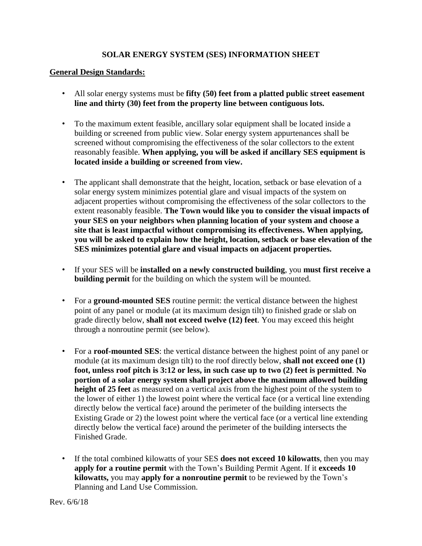## **SOLAR ENERGY SYSTEM (SES) INFORMATION SHEET**

## **General Design Standards:**

- All solar energy systems must be **fifty (50) feet from a platted public street easement line and thirty (30) feet from the property line between contiguous lots.**
- To the maximum extent feasible, ancillary solar equipment shall be located inside a building or screened from public view. Solar energy system appurtenances shall be screened without compromising the effectiveness of the solar collectors to the extent reasonably feasible. **When applying, you will be asked if ancillary SES equipment is located inside a building or screened from view.**
- The applicant shall demonstrate that the height, location, setback or base elevation of a solar energy system minimizes potential glare and visual impacts of the system on adjacent properties without compromising the effectiveness of the solar collectors to the extent reasonably feasible. **The Town would like you to consider the visual impacts of your SES on your neighbors when planning location of your system and choose a site that is least impactful without compromising its effectiveness. When applying, you will be asked to explain how the height, location, setback or base elevation of the SES minimizes potential glare and visual impacts on adjacent properties.**
- If your SES will be **installed on a newly constructed building**, you **must first receive a building permit** for the building on which the system will be mounted.
- For a **ground-mounted SES** routine permit: the vertical distance between the highest point of any panel or module (at its maximum design tilt) to finished grade or slab on grade directly below, **shall not exceed twelve (12) feet**. You may exceed this height through a nonroutine permit (see below).
- For a **roof-mounted SES**: the vertical distance between the highest point of any panel or module (at its maximum design tilt) to the roof directly below, **shall not exceed one (1) foot, unless roof pitch is 3:12 or less, in such case up to two (2) feet is permitted**. **No portion of a solar energy system shall project above the maximum allowed building height of 25 feet** as measured on a vertical axis from the highest point of the system to the lower of either 1) the lowest point where the vertical face (or a vertical line extending directly below the vertical face) around the perimeter of the building intersects the Existing Grade or 2) the lowest point where the vertical face (or a vertical line extending directly below the vertical face) around the perimeter of the building intersects the Finished Grade.
- If the total combined kilowatts of your SES **does not exceed 10 kilowatts**, then you may **apply for a routine permit** with the Town's Building Permit Agent. If it **exceeds 10 kilowatts,** you may **apply for a nonroutine permit** to be reviewed by the Town's Planning and Land Use Commission.